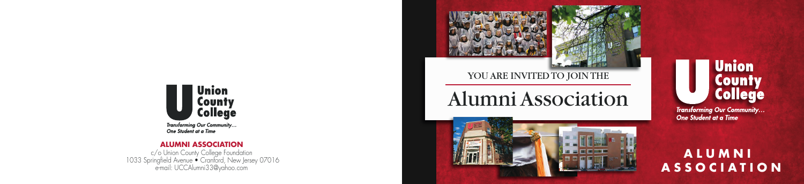

**Transforming Our Community...** One Student at a Time

#### **ALUMNI ASSOCIATION**

c/o Union County College Foundation 1033 Springfield Avenue • Cranford, New Jersey 07016 e-mail: UCCAlumni33@yahoo.com

## **ALUMNI A S S O C I A T I O N**



# **Union** County **College**

**Transforming Our Community...** One Student at a Time